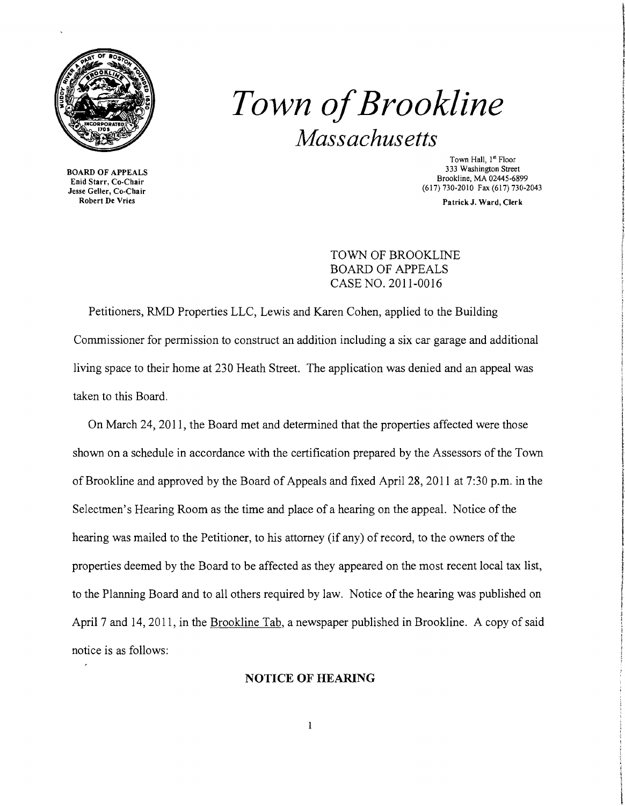

## *Town ofBrookline Massachusetts*

Enid Starr, Co-Chair<br>Jesse Geller, Co-Chair  $\frac{1}{\sqrt{100}}$  GeV  $\frac{1}{\sqrt{100}}$  (617) 730-2010 Fax (617) 730-2043<br>See Geller, Co-Chair (617) 730-2043<br>Robert De Vries

Town Hall, 1<sup>st</sup> Floor<br>333 Washington Street 333 Washington Street BOARD OF APPEALS<br>Brookline, MA 02445-6899<br>Frid Street Brookline, MA 02445-6899

Patrick J. Ward, Clerk

TOWN OF BROOKLINE BOARD OF APPEALS CASE NO. 2011-0016

Petitioners, RMD Properties LLC, Lewis and Karen Cohen, applied to the Building Commissioner for permission to construct an addition including a six car garage and additional living space to their home at 230 Heath Street. The application was denied and an appeal was taken to this Board.

On March 24, 2011, the Board met and determined that the properties affected were those shown on a schedule in accordance with the certification prepared by the Assessors of the Town of Brookline and approved by the Board of Appeals and fixed April 28, 2011 at 7:30 p.m. in the Selectmen's Hearing Room as the time and place of a hearing on the appeal. Notice of the hearing was mailed to the Petitioner, to his attorney (if any) of record, to the owners of the properties deemed by the Board to be affected as they appeared on the most recent local tax list, to the Planning Board and to all others required by law. Notice of the hearing was published on April 7 and 14, 2011, in the Brookline Tab, a newspaper published in Brookline. A copy of said notice is as follows:

## NOTICE OF HEARING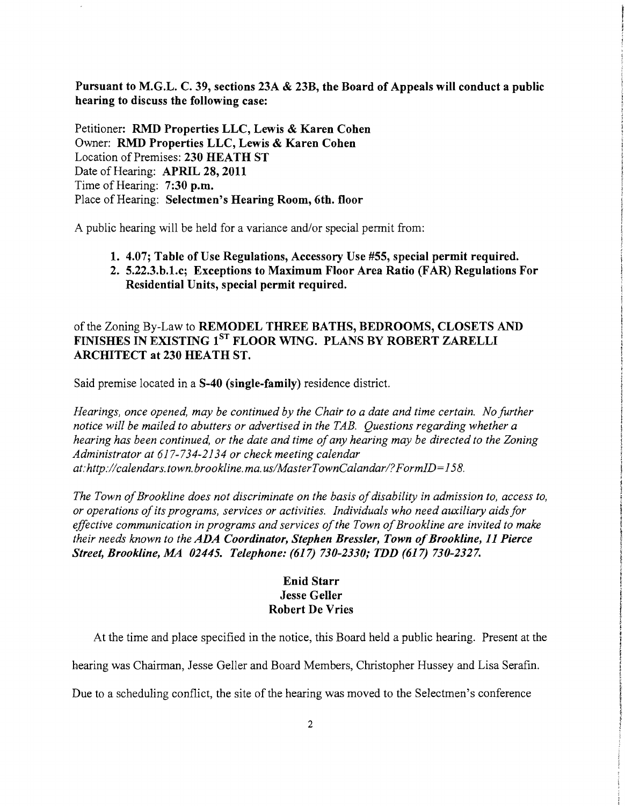Pursuant to M.G.L. C. 39, sections 23A & 23B, the Board of Appeals will conduct a public hearing to discuss the following case:

Petitioner: RMD Properties LLC, Lewis & Karen Cohen Owner: RMD Properties LLC, Lewis & Karen Cohen Location of Premises: 230 HEATH ST Date of Hearing: APRIL 28, 2011 Time of Hearing: 7:30 p.m. Place of Hearing: Selectmen's Hearing Room, 6th. floor

A public hearing will be held for a variance and/or special permit from:

- 1. 4.07; Table of Use Regulations, Accessory Use #55, special permit required.
- 2. 5.22.3.b.1.c; Exceptions to Maximum Floor Area Ratio (FAR) Regulations For Residential Units, special permit required.

## of the Zoning By-Law to REMODEL THREE BATHS, BEDROOMS, CLOSETS AND FINISHES IN EXISTING 1<sup>ST</sup> FLOOR WING. PLANS BY ROBERT ZARELLI ARCHITECT at 230 HEATH ST.

Said premise located in a S-40 (single-family) residence district.

*Hearings, once opened, may be continued by the Chair to a date and time certain. No further notice will be mailed to abutters or advertised in the TAB. Questions regarding whether a hearing has been continued, or the date and time of any hearing may be directed to the Zoning Administrator at* 617-734-2134 *or check meeting calendar at:http://calendars.town. brookline. mao uslMasterTownCalandarl?FormID=* 158.

The Town of Brookline does not discriminate on the basis of disability in admission to, access to, *or operations ofits programs, services or activities. Individuals who need auxiliary aidsfor*  effective communication in programs and services of the Town of Brookline are invited to make *their needs known to the ADA Coordinator, Stephen Bressler, Town of Brookline, 11 Pierce Street, Brookline, MA 02445. Telephone:* (617) *730-2330; TDD* (617) *730-2327.* 

## Enid Starr Jesse Geller Robert De Vries

At the time and place specified in the notice, this Board held a public hearing. Present at the

hearing was Chairman, Jesse Geller and Board Members, Christopher Hussey and Lisa Serafin.

Due to a scheduling conflict, the site of the hearing was moved to the Selectmen's conference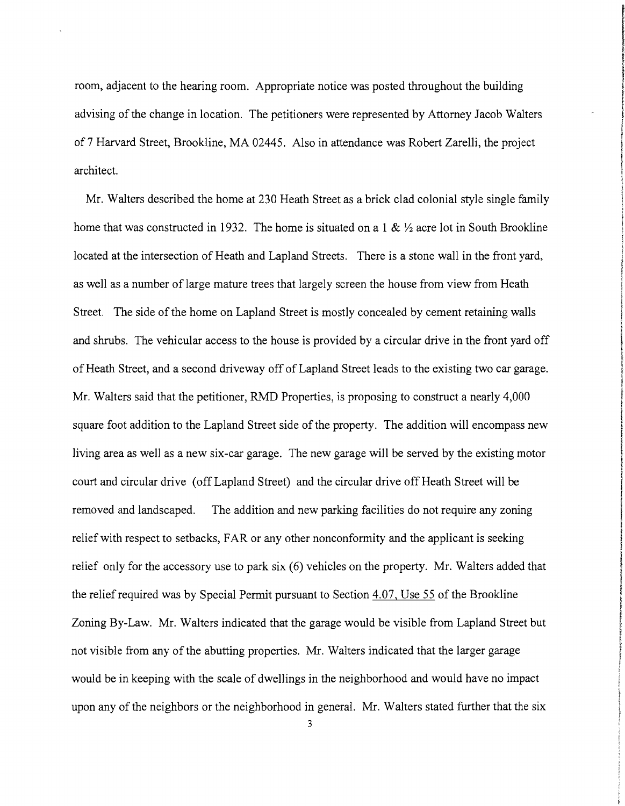room, adjacent to the hearing room. Appropriate notice was posted throughout the building advising of the change in location. The petitioners were represented by Attorney Jacob Walters of7 Harvard Street, Brookline, MA 02445. Also in attendance was Robert Zarelli, the project architect.

Mr. Walters described the home at 230 Heath Street as a brick clad colonial style single family home that was constructed in 1932. The home is situated on a 1 &  $\frac{1}{2}$  acre lot in South Brookline located at the intersection of Heath and Lapland Streets. There is a stone wall in the front yard, as well as a number of large mature trees that largely screen the house from view from Heath Street. The side of the home on Lapland Street is mostly concealed by cement retaining walls and shrubs. The vehicular access to the house is provided by a circular drive in the front yard off of Heath Street, and a second driveway off of Lapland Street leads to the existing two car garage. J Mr. Walters said that the petitioner, RMD Properties, is proposing to construct a nearly 4,000 square foot addition to the Lapland Street side of the property. The addition will encompass new living area as well as a new six-car garage. The new garage will be served by the existing motor court and circular drive (off Lapland Street) and the circular drive off Heath Street will be removed and landscaped. The addition and new parking facilities do not require any zoning relief with respect to setbacks, FAR or any other nonconformity and the applicant is seeking relief only for the accessory use to park six (6) vehicles on the property. Mr. Walters added that the relief required was by Special Permit pursuant to Section 4.07, Use 55 of the Brookline Zoning By-Law. Mr. Walters indicated that the garage would be visible from Lapland Street but not visible from any of the abutting properties. Mr. Walters indicated that the larger garage would be in keeping with the scale of dwellings in the neighborhood and would have no impact upon any of the neighbors or the neighborhood in general. Mr. Walters stated further that the six

Final Mark Constitution Management Constitution

**INTERNATIONALISTS** t **International** 

In the Allegean Control Control and the Control of Allegean Studio Control and the Control of the Control of T

**final control International Control** 

**The Control Advisor Control** 

! **International** f **Information** f

3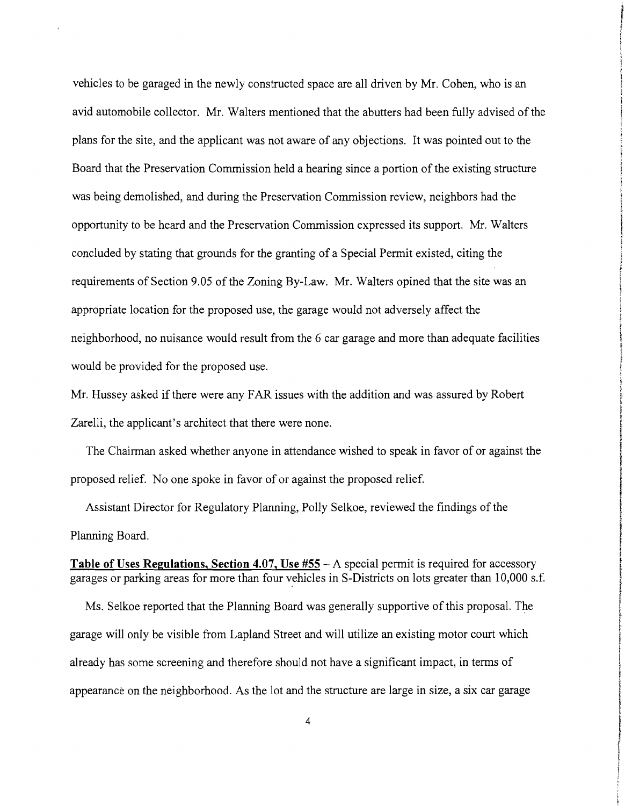vehicles to be garaged in the newly constructed space are all driven by Mr. Cohen, who is an avid automobile collector. Mr. Walters mentioned that the abutters had been fully advised of the plans for the site, and the applicant was not aware of any objections. It was pointed out to the Board that the Preservation Commission held a hearing since a portion of the existing structure was being demolished, and during the Preservation Commission review, neighbors had the opportunity to be heard and the Preservation Commission expressed its support. Mr. Walters concluded by stating that grounds for the granting of a Special Permit existed, citing the requirements of Section 9.05 of the Zoning By-Law. Mr. Walters opined that the site was an appropriate location for the proposed use, the garage would not adversely affect the neighborhood, no nuisance would result from the 6 car garage and more than adequate facilities would be provided for the proposed use.

Mr. Hussey asked if there were any FAR issues with the addition and was assured by Robert Zarelli, the applicant's architect that there were none.

The Chairman asked whether anyone in attendance wished to speak in favor of or against the proposed relief. Noone spoke in favor of or against the proposed relief.

Assistant Director for Regulatory Planning, Polly Selkoe, reviewed the findings of the Planning Board.

**Table of** Uses **Regulations, Section 4.07,** Use #55 - A special permit is required for accessory garages or parking areas for more than four vehicles in S-Districts on lots greater than 10,000 s.f.

Ms. Selkoe reported that the Planning Board was generally supportive of this proposal. The garage will only be visible from Lapland Street and will utilize an existing motor court which already has some screening and therefore should not have a significant impact, in terms of appearance on the neighborhood. As the lot and the structure are large in size, a six car garage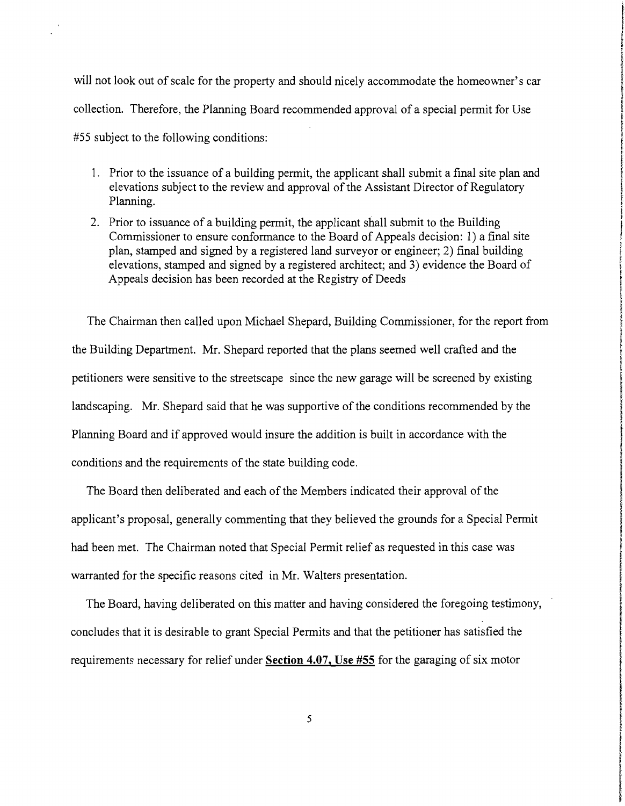will not look out of scale for the property and should nicely accommodate the homeowner's car collection. Therefore, the Planning Board recommended approval of a special permit for Use #55 subject to the following conditions:

- 1. Prior to the issuance of a building permit, the applicant shall submit a final site plan and elevations subject to the review and approval of the Assistant Director of Regulatory Planning.
- 2. Prior to issuance of a building permit, the applicant shall submit to the Building Commissioner to ensure conformance to the Board of Appeals decision: 1) a final site plan, stamped and signed by a registered land surveyor or engineer; 2) final building elevations, stamped and signed by a registered architect; and 3) evidence the Board of Appeals decision has been recorded at the Registry of Deeds

The Chairman then called upon Michael Shepard, Building Commissioner, for the report from the Building Department. Mr. Shepard reported that the plans seemed well crafted and the petitioners were sensitive to the streetscape since the new garage will be screened by existing landscaping. Mr. Shepard said that he was supportive of the conditions recommended by the Planning Board and if approved would insure the addition is built in accordance with the conditions and the requirements of the state building code.

The Board then deliberated and each of the Members indicated their approval of the applicant's proposal, generally commenting that they believed the grounds for a Special Permit had been met. The Chairman noted that Special Permit relief as requested in this case was warranted for the specific reasons cited in Mr. Walters presentation.

The Board, having deliberated on this matter and having considered the foregoing testimony, concludes that it is desirable to grant Special Permits and that the petitioner has satisfied the requirements necessary for relief under **Section 4.07,** Use **#55** for the garaging of six motor

the model and a company of the same also

ان کاری که کندگان (COMP) میگردد.<br>اما کاری که کندگان (COMP) میگردد که کار که به کار استفاده به کار استفاده به کار استفاده به کار استفاده به کار